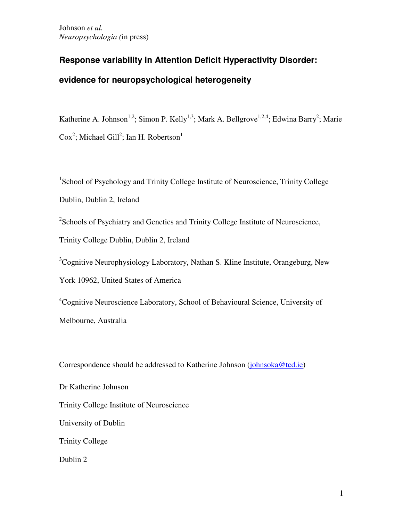# **Response variability in Attention Deficit Hyperactivity Disorder: evidence for neuropsychological heterogeneity**

Katherine A. Johnson<sup>1,2</sup>; Simon P. Kelly<sup>1,3</sup>; Mark A. Bellgrove<sup>1,2,4</sup>; Edwina Barry<sup>2</sup>; Marie  $\text{Cox}^2$ ; Michael Gill<sup>2</sup>; Ian H. Robertson<sup>1</sup>

<sup>1</sup>School of Psychology and Trinity College Institute of Neuroscience, Trinity College Dublin, Dublin 2, Ireland

<sup>2</sup>Schools of Psychiatry and Genetics and Trinity College Institute of Neuroscience, Trinity College Dublin, Dublin 2, Ireland

 $3^3$ Cognitive Neurophysiology Laboratory, Nathan S. Kline Institute, Orangeburg, New York 10962, United States of America

 ${}^{4}$ Cognitive Neuroscience Laboratory, School of Behavioural Science, University of Melbourne, Australia

Correspondence should be addressed to Katherine Johnson (johnsoka@tcd.ie)

Dr Katherine Johnson Trinity College Institute of Neuroscience University of Dublin Trinity College Dublin 2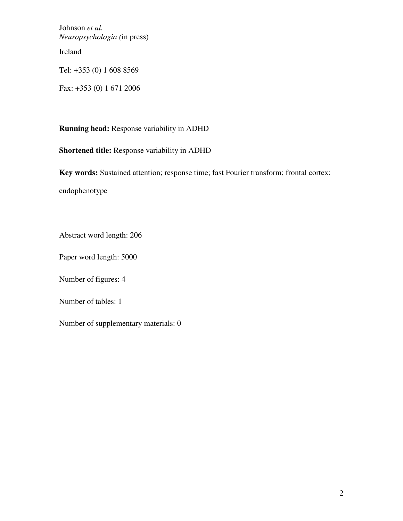Ireland

Tel: +353 (0) 1 608 8569

Fax: +353 (0) 1 671 2006

**Running head:** Response variability in ADHD

**Shortened title:** Response variability in ADHD

**Key words:** Sustained attention; response time; fast Fourier transform; frontal cortex;

endophenotype

Abstract word length: 206

Paper word length: 5000

Number of figures: 4

Number of tables: 1

Number of supplementary materials: 0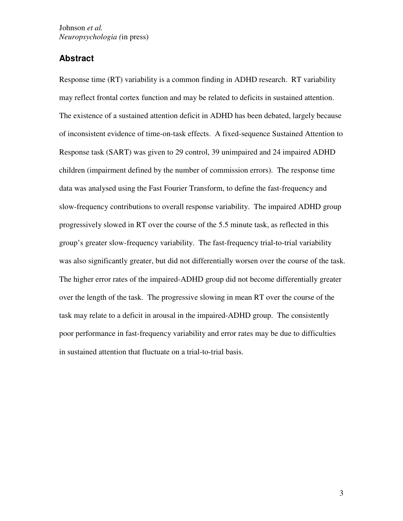# **Abstract**

Response time (RT) variability is a common finding in ADHD research. RT variability may reflect frontal cortex function and may be related to deficits in sustained attention. The existence of a sustained attention deficit in ADHD has been debated, largely because of inconsistent evidence of time-on-task effects. A fixed-sequence Sustained Attention to Response task (SART) was given to 29 control, 39 unimpaired and 24 impaired ADHD children (impairment defined by the number of commission errors). The response time data was analysed using the Fast Fourier Transform, to define the fast-frequency and slow-frequency contributions to overall response variability. The impaired ADHD group progressively slowed in RT over the course of the 5.5 minute task, as reflected in this group's greater slow-frequency variability. The fast-frequency trial-to-trial variability was also significantly greater, but did not differentially worsen over the course of the task. The higher error rates of the impaired-ADHD group did not become differentially greater over the length of the task. The progressive slowing in mean RT over the course of the task may relate to a deficit in arousal in the impaired-ADHD group. The consistently poor performance in fast-frequency variability and error rates may be due to difficulties in sustained attention that fluctuate on a trial-to-trial basis.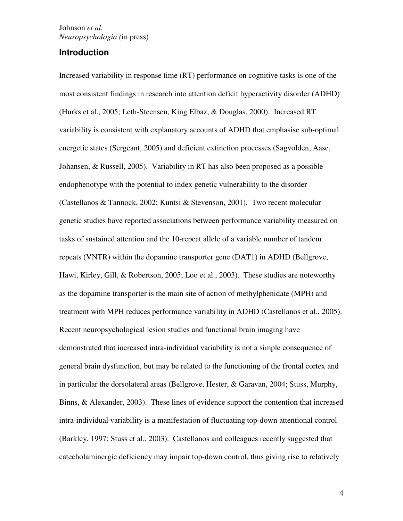## **Introduction**

Increased variability in response time (RT) performance on cognitive tasks is one of the most consistent findings in research into attention deficit hyperactivity disorder (ADHD) (Hurks et al., 2005; Leth-Steensen, King Elbaz, & Douglas, 2000). Increased RT variability is consistent with explanatory accounts of ADHD that emphasise sub-optimal energetic states (Sergeant, 2005) and deficient extinction processes (Sagvolden, Aase, Johansen, & Russell, 2005). Variability in RT has also been proposed as a possible endophenotype with the potential to index genetic vulnerability to the disorder (Castellanos & Tannock, 2002; Kuntsi & Stevenson, 2001). Two recent molecular genetic studies have reported associations between performance variability measured on tasks of sustained attention and the 10-repeat allele of a variable number of tandem repeats (VNTR) within the dopamine transporter gene (DAT1) in ADHD (Bellgrove, Hawi, Kirley, Gill, & Robertson, 2005; Loo et al., 2003). These studies are noteworthy as the dopamine transporter is the main site of action of methylphenidate (MPH) and treatment with MPH reduces performance variability in ADHD (Castellanos et al., 2005). Recent neuropsychological lesion studies and functional brain imaging have demonstrated that increased intra-individual variability is not a simple consequence of general brain dysfunction, but may be related to the functioning of the frontal cortex and in particular the dorsolateral areas (Bellgrove, Hester, & Garavan, 2004; Stuss, Murphy, Binns, & Alexander, 2003). These lines of evidence support the contention that increased intra-individual variability is a manifestation of fluctuating top-down attentional control (Barkley, 1997; Stuss et al., 2003). Castellanos and colleagues recently suggested that catecholaminergic deficiency may impair top-down control, thus giving rise to relatively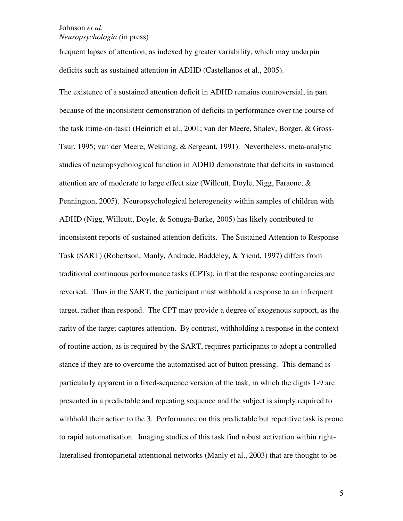frequent lapses of attention, as indexed by greater variability, which may underpin deficits such as sustained attention in ADHD (Castellanos et al., 2005).

The existence of a sustained attention deficit in ADHD remains controversial, in part because of the inconsistent demonstration of deficits in performance over the course of the task (time-on-task) (Heinrich et al., 2001; van der Meere, Shalev, Borger, & Gross-Tsur, 1995; van der Meere, Wekking, & Sergeant, 1991). Nevertheless, meta-analytic studies of neuropsychological function in ADHD demonstrate that deficits in sustained attention are of moderate to large effect size (Willcutt, Doyle, Nigg, Faraone, & Pennington, 2005). Neuropsychological heterogeneity within samples of children with ADHD (Nigg, Willcutt, Doyle, & Sonuga-Barke, 2005) has likely contributed to inconsistent reports of sustained attention deficits. The Sustained Attention to Response Task (SART) (Robertson, Manly, Andrade, Baddeley, & Yiend, 1997) differs from traditional continuous performance tasks (CPTs), in that the response contingencies are reversed. Thus in the SART, the participant must withhold a response to an infrequent target, rather than respond. The CPT may provide a degree of exogenous support, as the rarity of the target captures attention. By contrast, withholding a response in the context of routine action, as is required by the SART, requires participants to adopt a controlled stance if they are to overcome the automatised act of button pressing. This demand is particularly apparent in a fixed-sequence version of the task, in which the digits 1-9 are presented in a predictable and repeating sequence and the subject is simply required to withhold their action to the 3. Performance on this predictable but repetitive task is prone to rapid automatisation. Imaging studies of this task find robust activation within rightlateralised frontoparietal attentional networks (Manly et al., 2003) that are thought to be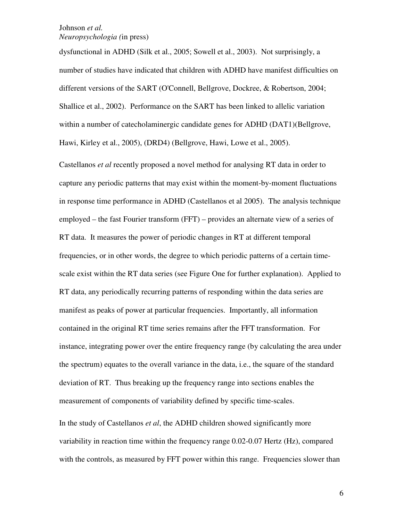dysfunctional in ADHD (Silk et al., 2005; Sowell et al., 2003). Not surprisingly, a number of studies have indicated that children with ADHD have manifest difficulties on different versions of the SART (O'Connell, Bellgrove, Dockree, & Robertson, 2004; Shallice et al., 2002). Performance on the SART has been linked to allelic variation within a number of catecholaminergic candidate genes for ADHD (DAT1)(Bellgrove, Hawi, Kirley et al., 2005), (DRD4) (Bellgrove, Hawi, Lowe et al., 2005).

Castellanos *et al* recently proposed a novel method for analysing RT data in order to capture any periodic patterns that may exist within the moment-by-moment fluctuations in response time performance in ADHD (Castellanos et al 2005). The analysis technique employed – the fast Fourier transform (FFT) – provides an alternate view of a series of RT data. It measures the power of periodic changes in RT at different temporal frequencies, or in other words, the degree to which periodic patterns of a certain timescale exist within the RT data series (see Figure One for further explanation). Applied to RT data, any periodically recurring patterns of responding within the data series are manifest as peaks of power at particular frequencies. Importantly, all information contained in the original RT time series remains after the FFT transformation. For instance, integrating power over the entire frequency range (by calculating the area under the spectrum) equates to the overall variance in the data, i.e., the square of the standard deviation of RT. Thus breaking up the frequency range into sections enables the measurement of components of variability defined by specific time-scales.

In the study of Castellanos *et al*, the ADHD children showed significantly more variability in reaction time within the frequency range 0.02-0.07 Hertz (Hz), compared with the controls, as measured by FFT power within this range. Frequencies slower than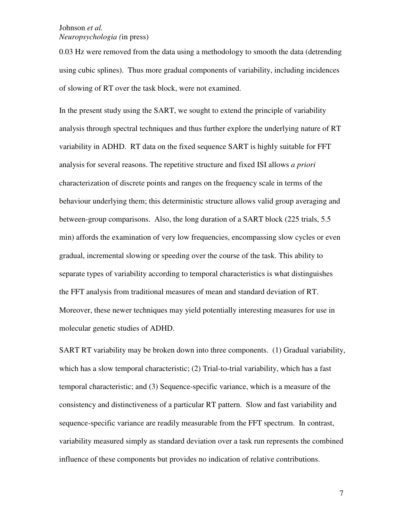0.03 Hz were removed from the data using a methodology to smooth the data (detrending using cubic splines). Thus more gradual components of variability, including incidences of slowing of RT over the task block, were not examined.

In the present study using the SART, we sought to extend the principle of variability analysis through spectral techniques and thus further explore the underlying nature of RT variability in ADHD. RT data on the fixed sequence SART is highly suitable for FFT analysis for several reasons. The repetitive structure and fixed ISI allows *a priori* characterization of discrete points and ranges on the frequency scale in terms of the behaviour underlying them; this deterministic structure allows valid group averaging and between-group comparisons. Also, the long duration of a SART block (225 trials, 5.5 min) affords the examination of very low frequencies, encompassing slow cycles or even gradual, incremental slowing or speeding over the course of the task. This ability to separate types of variability according to temporal characteristics is what distinguishes the FFT analysis from traditional measures of mean and standard deviation of RT. Moreover, these newer techniques may yield potentially interesting measures for use in molecular genetic studies of ADHD.

SART RT variability may be broken down into three components. (1) Gradual variability, which has a slow temporal characteristic; (2) Trial-to-trial variability, which has a fast temporal characteristic; and (3) Sequence-specific variance, which is a measure of the consistency and distinctiveness of a particular RT pattern. Slow and fast variability and sequence-specific variance are readily measurable from the FFT spectrum. In contrast, variability measured simply as standard deviation over a task run represents the combined influence of these components but provides no indication of relative contributions.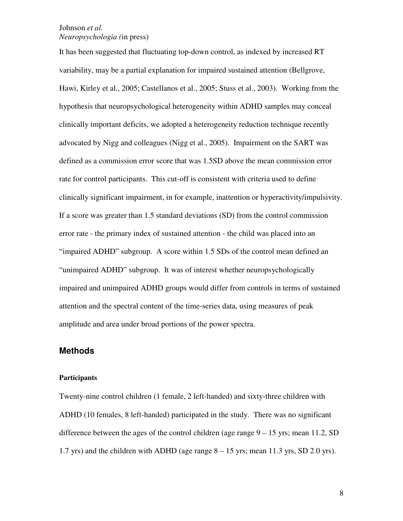It has been suggested that fluctuating top-down control, as indexed by increased RT variability, may be a partial explanation for impaired sustained attention (Bellgrove, Hawi, Kirley et al., 2005; Castellanos et al., 2005; Stuss et al., 2003). Working from the hypothesis that neuropsychological heterogeneity within ADHD samples may conceal clinically important deficits, we adopted a heterogeneity reduction technique recently advocated by Nigg and colleagues (Nigg et al., 2005). Impairment on the SART was defined as a commission error score that was 1.5SD above the mean commission error rate for control participants. This cut-off is consistent with criteria used to define clinically significant impairment, in for example, inattention or hyperactivity/impulsivity. If a score was greater than 1.5 standard deviations (SD) from the control commission error rate - the primary index of sustained attention - the child was placed into an "impaired ADHD" subgroup. A score within 1.5 SDs of the control mean defined an "unimpaired ADHD" subgroup. It was of interest whether neuropsychologically impaired and unimpaired ADHD groups would differ from controls in terms of sustained attention and the spectral content of the time-series data, using measures of peak amplitude and area under broad portions of the power spectra.

### **Methods**

#### **Participants**

Twenty-nine control children (1 female, 2 left-handed) and sixty-three children with ADHD (10 females, 8 left-handed) participated in the study. There was no significant difference between the ages of the control children (age range  $9 - 15$  yrs; mean 11.2, SD 1.7 yrs) and the children with ADHD (age range 8 – 15 yrs; mean 11.3 yrs, SD 2.0 yrs).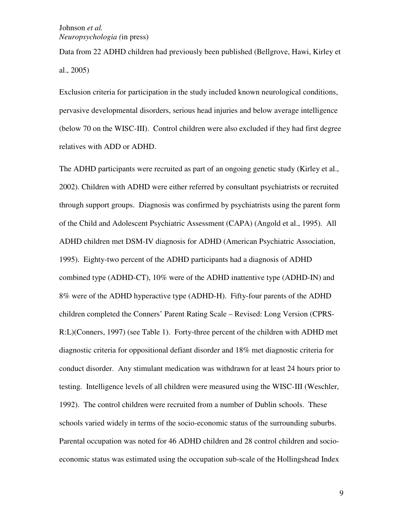Data from 22 ADHD children had previously been published (Bellgrove, Hawi, Kirley et al., 2005)

Exclusion criteria for participation in the study included known neurological conditions, pervasive developmental disorders, serious head injuries and below average intelligence (below 70 on the WISC-III). Control children were also excluded if they had first degree relatives with ADD or ADHD.

The ADHD participants were recruited as part of an ongoing genetic study (Kirley et al., 2002). Children with ADHD were either referred by consultant psychiatrists or recruited through support groups. Diagnosis was confirmed by psychiatrists using the parent form of the Child and Adolescent Psychiatric Assessment (CAPA) (Angold et al., 1995). All ADHD children met DSM-IV diagnosis for ADHD (American Psychiatric Association, 1995). Eighty-two percent of the ADHD participants had a diagnosis of ADHD combined type (ADHD-CT), 10% were of the ADHD inattentive type (ADHD-IN) and 8% were of the ADHD hyperactive type (ADHD-H). Fifty-four parents of the ADHD children completed the Conners' Parent Rating Scale – Revised: Long Version (CPRS-R:L)(Conners, 1997) (see Table 1). Forty-three percent of the children with ADHD met diagnostic criteria for oppositional defiant disorder and 18% met diagnostic criteria for conduct disorder. Any stimulant medication was withdrawn for at least 24 hours prior to testing. Intelligence levels of all children were measured using the WISC-III (Weschler, 1992). The control children were recruited from a number of Dublin schools. These schools varied widely in terms of the socio-economic status of the surrounding suburbs. Parental occupation was noted for 46 ADHD children and 28 control children and socioeconomic status was estimated using the occupation sub-scale of the Hollingshead Index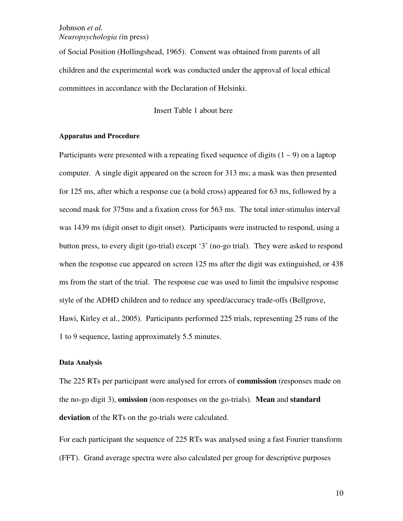of Social Position (Hollingshead, 1965). Consent was obtained from parents of all children and the experimental work was conducted under the approval of local ethical committees in accordance with the Declaration of Helsinki.

Insert Table 1 about here

#### **Apparatus and Procedure**

Participants were presented with a repeating fixed sequence of digits  $(1 – 9)$  on a laptop computer. A single digit appeared on the screen for 313 ms; a mask was then presented for 125 ms, after which a response cue (a bold cross) appeared for 63 ms, followed by a second mask for 375ms and a fixation cross for 563 ms. The total inter-stimulus interval was 1439 ms (digit onset to digit onset). Participants were instructed to respond, using a button press, to every digit (go-trial) except '3' (no-go trial). They were asked to respond when the response cue appeared on screen 125 ms after the digit was extinguished, or 438 ms from the start of the trial. The response cue was used to limit the impulsive response style of the ADHD children and to reduce any speed/accuracy trade-offs (Bellgrove, Hawi, Kirley et al., 2005). Participants performed 225 trials, representing 25 runs of the 1 to 9 sequence, lasting approximately 5.5 minutes.

#### **Data Analysis**

The 225 RTs per participant were analysed for errors of **commission** (responses made on the no-go digit 3), **omission** (non-responses on the go-trials). **Mean** and **standard deviation** of the RTs on the go-trials were calculated.

For each participant the sequence of 225 RTs was analysed using a fast Fourier transform (FFT). Grand average spectra were also calculated per group for descriptive purposes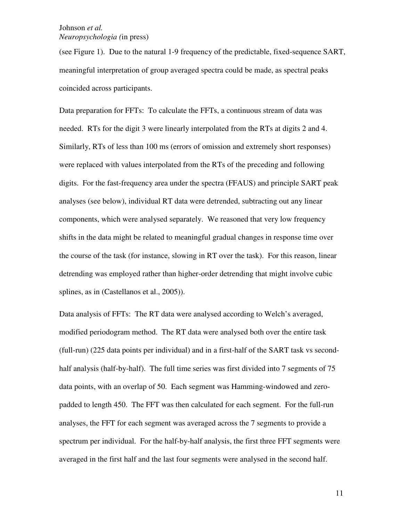(see Figure 1). Due to the natural 1-9 frequency of the predictable, fixed-sequence SART, meaningful interpretation of group averaged spectra could be made, as spectral peaks coincided across participants.

Data preparation for FFTs: To calculate the FFTs, a continuous stream of data was needed. RTs for the digit 3 were linearly interpolated from the RTs at digits 2 and 4. Similarly, RTs of less than 100 ms (errors of omission and extremely short responses) were replaced with values interpolated from the RTs of the preceding and following digits. For the fast-frequency area under the spectra (FFAUS) and principle SART peak analyses (see below), individual RT data were detrended, subtracting out any linear components, which were analysed separately. We reasoned that very low frequency shifts in the data might be related to meaningful gradual changes in response time over the course of the task (for instance, slowing in RT over the task). For this reason, linear detrending was employed rather than higher-order detrending that might involve cubic splines, as in (Castellanos et al., 2005)).

Data analysis of FFTs: The RT data were analysed according to Welch's averaged, modified periodogram method. The RT data were analysed both over the entire task (full-run) (225 data points per individual) and in a first-half of the SART task vs secondhalf analysis (half-by-half). The full time series was first divided into 7 segments of 75 data points, with an overlap of 50. Each segment was Hamming-windowed and zeropadded to length 450. The FFT was then calculated for each segment. For the full-run analyses, the FFT for each segment was averaged across the 7 segments to provide a spectrum per individual. For the half-by-half analysis, the first three FFT segments were averaged in the first half and the last four segments were analysed in the second half.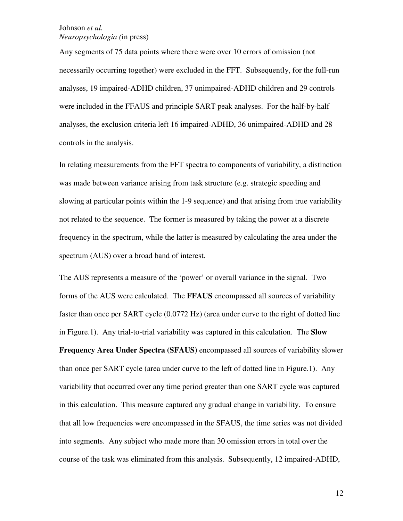Any segments of 75 data points where there were over 10 errors of omission (not necessarily occurring together) were excluded in the FFT. Subsequently, for the full-run analyses, 19 impaired-ADHD children, 37 unimpaired-ADHD children and 29 controls were included in the FFAUS and principle SART peak analyses. For the half-by-half analyses, the exclusion criteria left 16 impaired-ADHD, 36 unimpaired-ADHD and 28 controls in the analysis.

In relating measurements from the FFT spectra to components of variability, a distinction was made between variance arising from task structure (e.g. strategic speeding and slowing at particular points within the 1-9 sequence) and that arising from true variability not related to the sequence. The former is measured by taking the power at a discrete frequency in the spectrum, while the latter is measured by calculating the area under the spectrum (AUS) over a broad band of interest.

The AUS represents a measure of the 'power' or overall variance in the signal. Two forms of the AUS were calculated. The **FFAUS** encompassed all sources of variability faster than once per SART cycle (0.0772 Hz) (area under curve to the right of dotted line in Figure.1). Any trial-to-trial variability was captured in this calculation. The **Slow** 

**Frequency Area Under Spectra (SFAUS)** encompassed all sources of variability slower than once per SART cycle (area under curve to the left of dotted line in Figure.1). Any variability that occurred over any time period greater than one SART cycle was captured in this calculation. This measure captured any gradual change in variability. To ensure that all low frequencies were encompassed in the SFAUS, the time series was not divided into segments. Any subject who made more than 30 omission errors in total over the course of the task was eliminated from this analysis. Subsequently, 12 impaired-ADHD,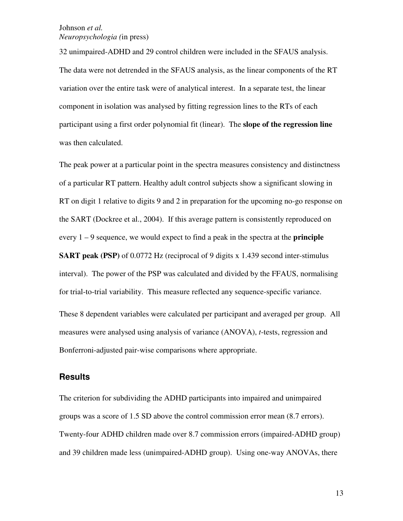32 unimpaired-ADHD and 29 control children were included in the SFAUS analysis. The data were not detrended in the SFAUS analysis, as the linear components of the RT variation over the entire task were of analytical interest. In a separate test, the linear component in isolation was analysed by fitting regression lines to the RTs of each participant using a first order polynomial fit (linear). The **slope of the regression line** was then calculated.

The peak power at a particular point in the spectra measures consistency and distinctness of a particular RT pattern. Healthy adult control subjects show a significant slowing in RT on digit 1 relative to digits 9 and 2 in preparation for the upcoming no-go response on the SART (Dockree et al., 2004). If this average pattern is consistently reproduced on every 1 – 9 sequence, we would expect to find a peak in the spectra at the **principle SART peak (PSP)** of 0.0772 Hz (reciprocal of 9 digits x 1.439 second inter-stimulus interval). The power of the PSP was calculated and divided by the FFAUS, normalising for trial-to-trial variability. This measure reflected any sequence-specific variance. These 8 dependent variables were calculated per participant and averaged per group. All measures were analysed using analysis of variance (ANOVA), *t*-tests, regression and Bonferroni-adjusted pair-wise comparisons where appropriate.

# **Results**

The criterion for subdividing the ADHD participants into impaired and unimpaired groups was a score of 1.5 SD above the control commission error mean (8.7 errors). Twenty-four ADHD children made over 8.7 commission errors (impaired-ADHD group) and 39 children made less (unimpaired-ADHD group). Using one-way ANOVAs, there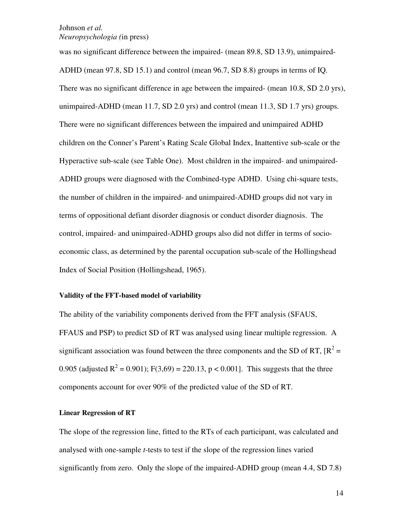was no significant difference between the impaired- (mean 89.8, SD 13.9), unimpaired-ADHD (mean 97.8, SD 15.1) and control (mean 96.7, SD 8.8) groups in terms of IQ. There was no significant difference in age between the impaired- (mean 10.8, SD 2.0 yrs), unimpaired-ADHD (mean  $11.7$ , SD  $2.0$  yrs) and control (mean  $11.3$ , SD  $1.7$  yrs) groups. There were no significant differences between the impaired and unimpaired ADHD children on the Conner's Parent's Rating Scale Global Index, Inattentive sub-scale or the Hyperactive sub-scale (see Table One). Most children in the impaired- and unimpaired-ADHD groups were diagnosed with the Combined-type ADHD. Using chi-square tests, the number of children in the impaired- and unimpaired-ADHD groups did not vary in terms of oppositional defiant disorder diagnosis or conduct disorder diagnosis. The control, impaired- and unimpaired-ADHD groups also did not differ in terms of socioeconomic class, as determined by the parental occupation sub-scale of the Hollingshead Index of Social Position (Hollingshead, 1965).

#### **Validity of the FFT-based model of variability**

The ability of the variability components derived from the FFT analysis (SFAUS, FFAUS and PSP) to predict SD of RT was analysed using linear multiple regression. A significant association was found between the three components and the SD of RT,  $[R^2 =$ 0.905 (adjusted  $R^2 = 0.901$ ); F(3,69) = 220.13, p < 0.001]. This suggests that the three components account for over 90% of the predicted value of the SD of RT.

#### **Linear Regression of RT**

The slope of the regression line, fitted to the RTs of each participant, was calculated and analysed with one-sample *t*-tests to test if the slope of the regression lines varied significantly from zero. Only the slope of the impaired-ADHD group (mean 4.4, SD 7.8)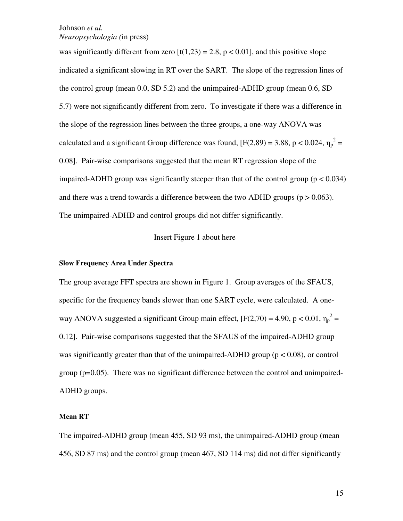was significantly different from zero  $[t(1,23) = 2.8, p < 0.01]$ , and this positive slope indicated a significant slowing in RT over the SART. The slope of the regression lines of the control group (mean 0.0, SD 5.2) and the unimpaired-ADHD group (mean 0.6, SD 5.7) were not significantly different from zero. To investigate if there was a difference in the slope of the regression lines between the three groups, a one-way ANOVA was calculated and a significant Group difference was found,  $[F(2,89) = 3.88, p < 0.024, \eta_p^2 =$ 0.08]. Pair-wise comparisons suggested that the mean RT regression slope of the impaired-ADHD group was significantly steeper than that of the control group  $(p < 0.034)$ and there was a trend towards a difference between the two ADHD groups ( $p > 0.063$ ). The unimpaired-ADHD and control groups did not differ significantly.

Insert Figure 1 about here

#### **Slow Frequency Area Under Spectra**

The group average FFT spectra are shown in Figure 1. Group averages of the SFAUS, specific for the frequency bands slower than one SART cycle, were calculated. A oneway ANOVA suggested a significant Group main effect,  $[F(2,70) = 4.90, p < 0.01, \eta_p^2 =$ 0.12]. Pair-wise comparisons suggested that the SFAUS of the impaired-ADHD group was significantly greater than that of the unimpaired-ADHD group ( $p < 0.08$ ), or control group (p=0.05). There was no significant difference between the control and unimpaired-ADHD groups.

#### **Mean RT**

The impaired-ADHD group (mean 455, SD 93 ms), the unimpaired-ADHD group (mean 456, SD 87 ms) and the control group (mean 467, SD 114 ms) did not differ significantly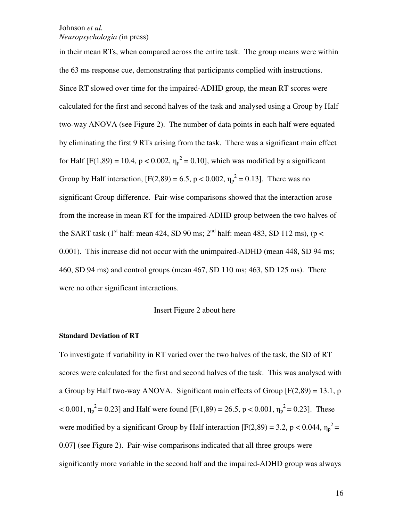in their mean RTs, when compared across the entire task. The group means were within the 63 ms response cue, demonstrating that participants complied with instructions. Since RT slowed over time for the impaired-ADHD group, the mean RT scores were calculated for the first and second halves of the task and analysed using a Group by Half two-way ANOVA (see Figure 2). The number of data points in each half were equated by eliminating the first 9 RTs arising from the task. There was a significant main effect for Half [F(1,89) = 10.4, p < 0.002,  $\eta_p^2 = 0.10$ ], which was modified by a significant Group by Half interaction,  $[F(2,89) = 6.5, p < 0.002, \eta_p^2 = 0.13]$ . There was no significant Group difference. Pair-wise comparisons showed that the interaction arose from the increase in mean RT for the impaired-ADHD group between the two halves of the SART task (1<sup>st</sup> half: mean 424, SD 90 ms; 2<sup>nd</sup> half: mean 483, SD 112 ms), (p < 0.001). This increase did not occur with the unimpaired-ADHD (mean 448, SD 94 ms; 460, SD 94 ms) and control groups (mean 467, SD 110 ms; 463, SD 125 ms). There were no other significant interactions.

#### Insert Figure 2 about here

#### **Standard Deviation of RT**

To investigate if variability in RT varied over the two halves of the task, the SD of RT scores were calculated for the first and second halves of the task. This was analysed with a Group by Half two-way ANOVA. Significant main effects of Group  $[F(2,89) = 13.1, p]$  $< 0.001$ ,  $\eta_p^2 = 0.23$ ] and Half were found [F(1,89) = 26.5, p < 0.001,  $\eta_p^2 = 0.23$ ]. These were modified by a significant Group by Half interaction [F(2,89) = 3.2, p < 0.044,  $\eta_p^2$  = 0.07] (see Figure 2). Pair-wise comparisons indicated that all three groups were significantly more variable in the second half and the impaired-ADHD group was always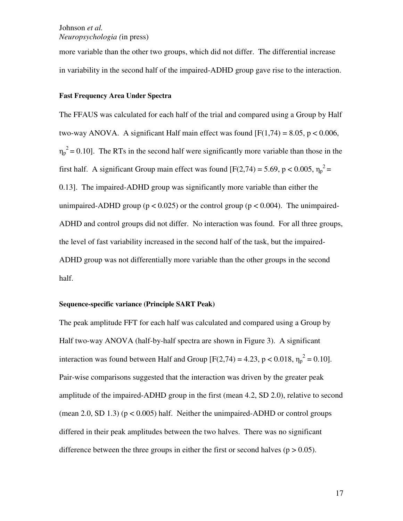more variable than the other two groups, which did not differ. The differential increase in variability in the second half of the impaired-ADHD group gave rise to the interaction.

#### **Fast Frequency Area Under Spectra**

The FFAUS was calculated for each half of the trial and compared using a Group by Half two-way ANOVA. A significant Half main effect was found  $[F(1,74) = 8.05, p < 0.006,$  $\eta_p^2$  = 0.10]. The RTs in the second half were significantly more variable than those in the first half. A significant Group main effect was found [F(2,74) = 5.69, p < 0.005,  $\eta_p^2$  = 0.13]. The impaired-ADHD group was significantly more variable than either the unimpaired-ADHD group ( $p < 0.025$ ) or the control group ( $p < 0.004$ ). The unimpaired-ADHD and control groups did not differ. No interaction was found. For all three groups, the level of fast variability increased in the second half of the task, but the impaired-ADHD group was not differentially more variable than the other groups in the second half.

#### **Sequence-specific variance (Principle SART Peak)**

The peak amplitude FFT for each half was calculated and compared using a Group by Half two-way ANOVA (half-by-half spectra are shown in Figure 3). A significant interaction was found between Half and Group  $[F(2,74) = 4.23, p < 0.018, \eta_p^2 = 0.10]$ . Pair-wise comparisons suggested that the interaction was driven by the greater peak amplitude of the impaired-ADHD group in the first (mean 4.2, SD 2.0), relative to second (mean 2.0, SD 1.3) ( $p < 0.005$ ) half. Neither the unimpaired-ADHD or control groups differed in their peak amplitudes between the two halves. There was no significant difference between the three groups in either the first or second halves ( $p > 0.05$ ).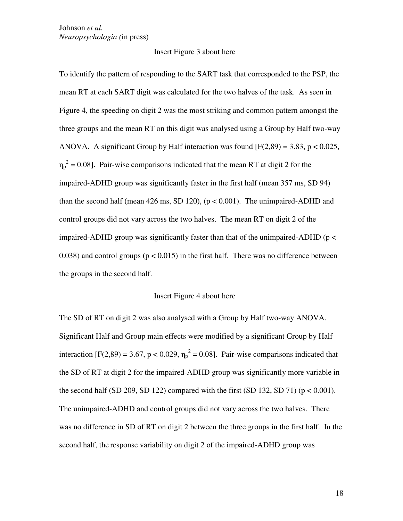#### Insert Figure 3 about here

To identify the pattern of responding to the SART task that corresponded to the PSP, the mean RT at each SART digit was calculated for the two halves of the task. As seen in Figure 4, the speeding on digit 2 was the most striking and common pattern amongst the three groups and the mean RT on this digit was analysed using a Group by Half two-way ANOVA. A significant Group by Half interaction was found  $[F(2,89) = 3.83, p < 0.025,$  $\eta_p^2$  = 0.08]. Pair-wise comparisons indicated that the mean RT at digit 2 for the impaired-ADHD group was significantly faster in the first half (mean 357 ms, SD 94) than the second half (mean 426 ms, SD 120),  $(p < 0.001)$ . The unimpaired-ADHD and control groups did not vary across the two halves. The mean RT on digit 2 of the impaired-ADHD group was significantly faster than that of the unimpaired-ADHD ( $p <$ 0.038) and control groups ( $p < 0.015$ ) in the first half. There was no difference between the groups in the second half.

#### Insert Figure 4 about here

The SD of RT on digit 2 was also analysed with a Group by Half two-way ANOVA. Significant Half and Group main effects were modified by a significant Group by Half interaction [F(2,89) = 3.67, p < 0.029,  $\eta_p^2$  = 0.08]. Pair-wise comparisons indicated that the SD of RT at digit 2 for the impaired-ADHD group was significantly more variable in the second half (SD 209, SD 122) compared with the first (SD 132, SD 71) ( $p < 0.001$ ). The unimpaired-ADHD and control groups did not vary across the two halves. There was no difference in SD of RT on digit 2 between the three groups in the first half. In the second half, the response variability on digit 2 of the impaired-ADHD group was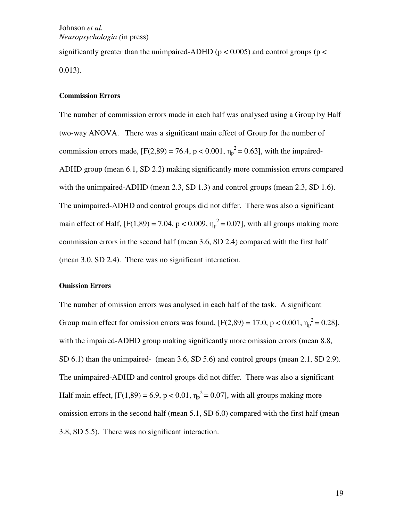significantly greater than the unimpaired-ADHD ( $p < 0.005$ ) and control groups ( $p <$ 0.013).

#### **Commission Errors**

The number of commission errors made in each half was analysed using a Group by Half two-way ANOVA. There was a significant main effect of Group for the number of commission errors made,  $[F(2,89) = 76.4, p < 0.001, \eta_p^2 = 0.63]$ , with the impaired-ADHD group (mean 6.1, SD 2.2) making significantly more commission errors compared with the unimpaired-ADHD (mean 2.3, SD 1.3) and control groups (mean 2.3, SD 1.6). The unimpaired-ADHD and control groups did not differ. There was also a significant main effect of Half,  $[F(1,89) = 7.04, p < 0.009, \eta_p^2 = 0.07]$ , with all groups making more commission errors in the second half (mean 3.6, SD 2.4) compared with the first half (mean 3.0, SD 2.4). There was no significant interaction.

#### **Omission Errors**

The number of omission errors was analysed in each half of the task. A significant Group main effect for omission errors was found,  $[F(2,89) = 17.0, p < 0.001, \eta_p^2 = 0.28]$ , with the impaired-ADHD group making significantly more omission errors (mean 8.8, SD 6.1) than the unimpaired- (mean 3.6, SD 5.6) and control groups (mean 2.1, SD 2.9). The unimpaired-ADHD and control groups did not differ. There was also a significant Half main effect,  $[F(1,89) = 6.9, p < 0.01, \eta_p^2 = 0.07]$ , with all groups making more omission errors in the second half (mean 5.1, SD 6.0) compared with the first half (mean 3.8, SD 5.5). There was no significant interaction.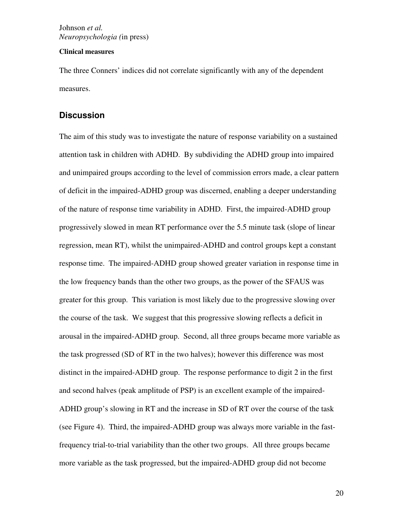#### **Clinical measures**

The three Conners' indices did not correlate significantly with any of the dependent measures.

## **Discussion**

The aim of this study was to investigate the nature of response variability on a sustained attention task in children with ADHD. By subdividing the ADHD group into impaired and unimpaired groups according to the level of commission errors made, a clear pattern of deficit in the impaired-ADHD group was discerned, enabling a deeper understanding of the nature of response time variability in ADHD. First, the impaired-ADHD group progressively slowed in mean RT performance over the 5.5 minute task (slope of linear regression, mean RT), whilst the unimpaired-ADHD and control groups kept a constant response time. The impaired-ADHD group showed greater variation in response time in the low frequency bands than the other two groups, as the power of the SFAUS was greater for this group. This variation is most likely due to the progressive slowing over the course of the task. We suggest that this progressive slowing reflects a deficit in arousal in the impaired-ADHD group. Second, all three groups became more variable as the task progressed (SD of RT in the two halves); however this difference was most distinct in the impaired-ADHD group. The response performance to digit 2 in the first and second halves (peak amplitude of PSP) is an excellent example of the impaired-ADHD group's slowing in RT and the increase in SD of RT over the course of the task (see Figure 4). Third, the impaired-ADHD group was always more variable in the fastfrequency trial-to-trial variability than the other two groups. All three groups became more variable as the task progressed, but the impaired-ADHD group did not become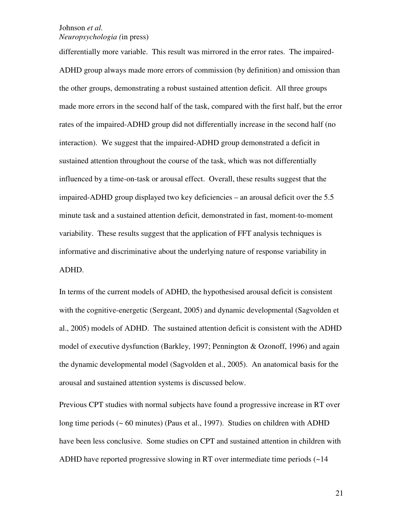differentially more variable. This result was mirrored in the error rates. The impaired-ADHD group always made more errors of commission (by definition) and omission than the other groups, demonstrating a robust sustained attention deficit. All three groups made more errors in the second half of the task, compared with the first half, but the error rates of the impaired-ADHD group did not differentially increase in the second half (no interaction). We suggest that the impaired-ADHD group demonstrated a deficit in sustained attention throughout the course of the task, which was not differentially influenced by a time-on-task or arousal effect. Overall, these results suggest that the impaired-ADHD group displayed two key deficiencies – an arousal deficit over the 5.5 minute task and a sustained attention deficit, demonstrated in fast, moment-to-moment variability. These results suggest that the application of FFT analysis techniques is informative and discriminative about the underlying nature of response variability in ADHD.

In terms of the current models of ADHD, the hypothesised arousal deficit is consistent with the cognitive-energetic (Sergeant, 2005) and dynamic developmental (Sagvolden et al., 2005) models of ADHD. The sustained attention deficit is consistent with the ADHD model of executive dysfunction (Barkley, 1997; Pennington & Ozonoff, 1996) and again the dynamic developmental model (Sagvolden et al., 2005). An anatomical basis for the arousal and sustained attention systems is discussed below.

Previous CPT studies with normal subjects have found a progressive increase in RT over long time periods (~ 60 minutes) (Paus et al., 1997). Studies on children with ADHD have been less conclusive. Some studies on CPT and sustained attention in children with ADHD have reported progressive slowing in RT over intermediate time periods (~14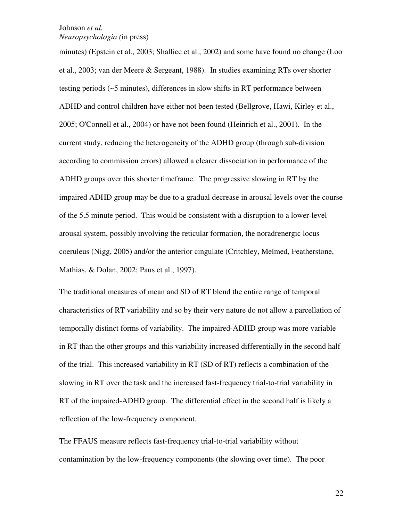minutes) (Epstein et al., 2003; Shallice et al., 2002) and some have found no change (Loo et al., 2003; van der Meere & Sergeant, 1988). In studies examining RTs over shorter testing periods (~5 minutes), differences in slow shifts in RT performance between ADHD and control children have either not been tested (Bellgrove, Hawi, Kirley et al., 2005; O'Connell et al., 2004) or have not been found (Heinrich et al., 2001). In the current study, reducing the heterogeneity of the ADHD group (through sub-division according to commission errors) allowed a clearer dissociation in performance of the ADHD groups over this shorter timeframe. The progressive slowing in RT by the impaired ADHD group may be due to a gradual decrease in arousal levels over the course of the 5.5 minute period. This would be consistent with a disruption to a lower-level arousal system, possibly involving the reticular formation, the noradrenergic locus coeruleus (Nigg, 2005) and/or the anterior cingulate (Critchley, Melmed, Featherstone, Mathias, & Dolan, 2002; Paus et al., 1997).

The traditional measures of mean and SD of RT blend the entire range of temporal characteristics of RT variability and so by their very nature do not allow a parcellation of temporally distinct forms of variability. The impaired-ADHD group was more variable in RT than the other groups and this variability increased differentially in the second half of the trial. This increased variability in RT (SD of RT) reflects a combination of the slowing in RT over the task and the increased fast-frequency trial-to-trial variability in RT of the impaired-ADHD group. The differential effect in the second half is likely a reflection of the low-frequency component.

The FFAUS measure reflects fast-frequency trial-to-trial variability without contamination by the low-frequency components (the slowing over time). The poor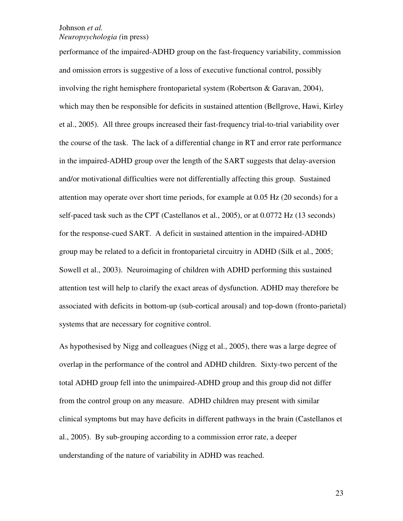performance of the impaired-ADHD group on the fast-frequency variability, commission and omission errors is suggestive of a loss of executive functional control, possibly involving the right hemisphere frontoparietal system (Robertson & Garavan, 2004), which may then be responsible for deficits in sustained attention (Bellgrove, Hawi, Kirley et al., 2005). All three groups increased their fast-frequency trial-to-trial variability over the course of the task. The lack of a differential change in RT and error rate performance in the impaired-ADHD group over the length of the SART suggests that delay-aversion and/or motivational difficulties were not differentially affecting this group. Sustained attention may operate over short time periods, for example at 0.05 Hz (20 seconds) for a self-paced task such as the CPT (Castellanos et al., 2005), or at 0.0772 Hz (13 seconds) for the response-cued SART. A deficit in sustained attention in the impaired-ADHD group may be related to a deficit in frontoparietal circuitry in ADHD (Silk et al., 2005; Sowell et al., 2003). Neuroimaging of children with ADHD performing this sustained attention test will help to clarify the exact areas of dysfunction. ADHD may therefore be associated with deficits in bottom-up (sub-cortical arousal) and top-down (fronto-parietal) systems that are necessary for cognitive control.

As hypothesised by Nigg and colleagues (Nigg et al., 2005), there was a large degree of overlap in the performance of the control and ADHD children. Sixty-two percent of the total ADHD group fell into the unimpaired-ADHD group and this group did not differ from the control group on any measure. ADHD children may present with similar clinical symptoms but may have deficits in different pathways in the brain (Castellanos et al., 2005). By sub-grouping according to a commission error rate, a deeper understanding of the nature of variability in ADHD was reached.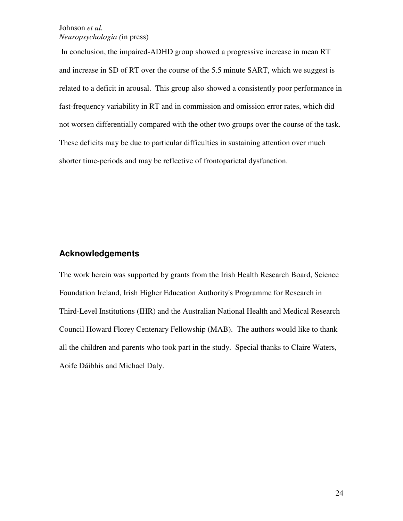In conclusion, the impaired-ADHD group showed a progressive increase in mean RT and increase in SD of RT over the course of the 5.5 minute SART, which we suggest is related to a deficit in arousal. This group also showed a consistently poor performance in fast-frequency variability in RT and in commission and omission error rates, which did not worsen differentially compared with the other two groups over the course of the task. These deficits may be due to particular difficulties in sustaining attention over much shorter time-periods and may be reflective of frontoparietal dysfunction.

# **Acknowledgements**

The work herein was supported by grants from the Irish Health Research Board, Science Foundation Ireland, Irish Higher Education Authority's Programme for Research in Third-Level Institutions (IHR) and the Australian National Health and Medical Research Council Howard Florey Centenary Fellowship (MAB). The authors would like to thank all the children and parents who took part in the study. Special thanks to Claire Waters, Aoife Dáibhis and Michael Daly.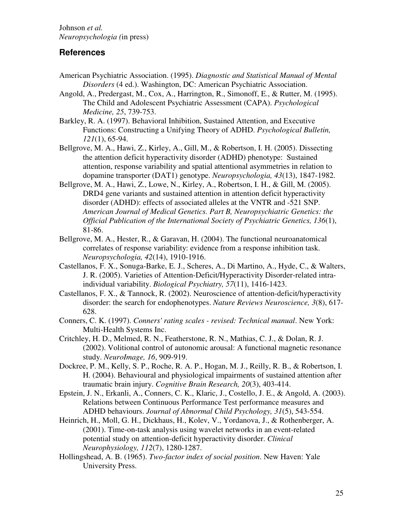# **References**

- American Psychiatric Association. (1995). *Diagnostic and Statistical Manual of Mental Disorders* (4 ed.). Washington, DC: American Psychiatric Association.
- Angold, A., Predergast, M., Cox, A., Harrington, R., Simonoff, E., & Rutter, M. (1995). The Child and Adolescent Psychiatric Assessment (CAPA). *Psychological Medicine, 25*, 739-753.
- Barkley, R. A. (1997). Behavioral Inhibition, Sustained Attention, and Executive Functions: Constructing a Unifying Theory of ADHD. *Psychological Bulletin, 121*(1), 65-94.
- Bellgrove, M. A., Hawi, Z., Kirley, A., Gill, M., & Robertson, I. H. (2005). Dissecting the attention deficit hyperactivity disorder (ADHD) phenotype: Sustained attention, response variability and spatial attentional asymmetries in relation to dopamine transporter (DAT1) genotype. *Neuropsychologia, 43*(13), 1847-1982.
- Bellgrove, M. A., Hawi, Z., Lowe, N., Kirley, A., Robertson, I. H., & Gill, M. (2005). DRD4 gene variants and sustained attention in attention deficit hyperactivity disorder (ADHD): effects of associated alleles at the VNTR and -521 SNP. *American Journal of Medical Genetics. Part B, Neuropsychiatric Genetics: the Official Publication of the International Society of Psychiatric Genetics, 136*(1), 81-86.
- Bellgrove, M. A., Hester, R., & Garavan, H. (2004). The functional neuroanatomical correlates of response variability: evidence from a response inhibition task. *Neuropsychologia, 42*(14), 1910-1916.
- Castellanos, F. X., Sonuga-Barke, E. J., Scheres, A., Di Martino, A., Hyde, C., & Walters, J. R. (2005). Varieties of Attention-Deficit/Hyperactivity Disorder-related intraindividual variability. *Biological Psychiatry, 57*(11), 1416-1423.
- Castellanos, F. X., & Tannock, R. (2002). Neuroscience of attention-deficit/hyperactivity disorder: the search for endophenotypes. *Nature Reviews Neuroscience, 3*(8), 617- 628.
- Conners, C. K. (1997). *Conners' rating scales revised: Technical manual*. New York: Multi-Health Systems Inc.
- Critchley, H. D., Melmed, R. N., Featherstone, R. N., Mathias, C. J., & Dolan, R. J. (2002). Volitional control of autonomic arousal: A functional magnetic resonance study. *NeuroImage, 16*, 909-919.
- Dockree, P. M., Kelly, S. P., Roche, R. A. P., Hogan, M. J., Reilly, R. B., & Robertson, I. H. (2004). Behavioural and physiological impairments of sustained attention after traumatic brain injury. *Cognitive Brain Research, 20*(3), 403-414.
- Epstein, J. N., Erkanli, A., Conners, C. K., Klaric, J., Costello, J. E., & Angold, A. (2003). Relations between Continuous Performance Test performance measures and ADHD behaviours. *Journal of Abnormal Child Psychology, 31*(5), 543-554.
- Heinrich, H., Moll, G. H., Dickhaus, H., Kolev, V., Yordanova, J., & Rothenberger, A. (2001). Time-on-task analysis using wavelet networks in an event-related potential study on attention-deficit hyperactivity disorder. *Clinical Neurophysiology, 112*(7), 1280-1287.
- Hollingshead, A. B. (1965). *Two-factor index of social position*. New Haven: Yale University Press.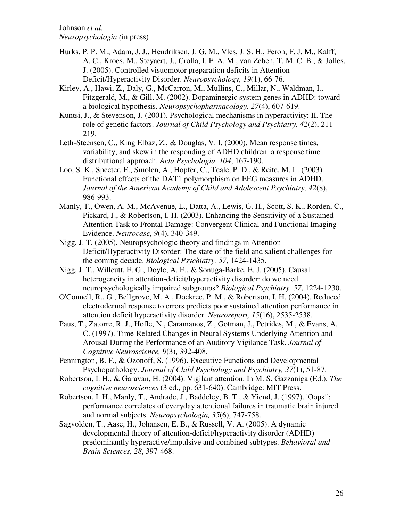- Hurks, P. P. M., Adam, J. J., Hendriksen, J. G. M., Vles, J. S. H., Feron, F. J. M., Kalff, A. C., Kroes, M., Steyaert, J., Crolla, I. F. A. M., van Zeben, T. M. C. B., & Jolles, J. (2005). Controlled visuomotor preparation deficits in Attention-Deficit/Hyperactivity Disorder. *Neuropsychology, 19*(1), 66-76.
- Kirley, A., Hawi, Z., Daly, G., McCarron, M., Mullins, C., Millar, N., Waldman, I., Fitzgerald, M., & Gill, M. (2002). Dopaminergic system genes in ADHD: toward a biological hypothesis. *Neuropsychopharmacology, 27*(4), 607-619.
- Kuntsi, J., & Stevenson, J. (2001). Psychological mechanisms in hyperactivity: II. The role of genetic factors. *Journal of Child Psychology and Psychiatry, 42*(2), 211- 219.
- Leth-Steensen, C., King Elbaz, Z., & Douglas, V. I. (2000). Mean response times, variability, and skew in the responding of ADHD children: a response time distributional approach. *Acta Psychologia, 104*, 167-190.
- Loo, S. K., Specter, E., Smolen, A., Hopfer, C., Teale, P. D., & Reite, M. L. (2003). Functional effects of the DAT1 polymorphism on EEG measures in ADHD. *Journal of the American Academy of Child and Adolescent Psychiatry, 42*(8), 986-993.
- Manly, T., Owen, A. M., McAvenue, L., Datta, A., Lewis, G. H., Scott, S. K., Rorden, C., Pickard, J., & Robertson, I. H. (2003). Enhancing the Sensitivity of a Sustained Attention Task to Frontal Damage: Convergent Clinical and Functional Imaging Evidence. *Neurocase, 9*(4), 340-349.
- Nigg, J. T. (2005). Neuropsychologic theory and findings in Attention-Deficit/Hyperactivity Disorder: The state of the field and salient challenges for the coming decade. *Biological Psychiatry, 57*, 1424-1435.
- Nigg, J. T., Willcutt, E. G., Doyle, A. E., & Sonuga-Barke, E. J. (2005). Causal heterogeneity in attention-deficit/hyperactivity disorder: do we need neuropsychologically impaired subgroups? *Biological Psychiatry, 57*, 1224-1230.
- O'Connell, R., G., Bellgrove, M. A., Dockree, P. M., & Robertson, I. H. (2004). Reduced electrodermal response to errors predicts poor sustained attention performance in attention deficit hyperactivity disorder. *Neuroreport, 15*(16), 2535-2538.
- Paus, T., Zatorre, R. J., Hofle, N., Caramanos, Z., Gotman, J., Petrides, M., & Evans, A. C. (1997). Time-Related Changes in Neural Systems Underlying Attention and Arousal During the Performance of an Auditory Vigilance Task. *Journal of Cognitive Neuroscience, 9*(3), 392-408.
- Pennington, B. F., & Ozonoff, S. (1996). Executive Functions and Developmental Psychopathology. *Journal of Child Psychology and Psychiatry, 37*(1), 51-87.
- Robertson, I. H., & Garavan, H. (2004). Vigilant attention. In M. S. Gazzaniga (Ed.), *The cognitive neurosciences* (3 ed., pp. 631-640). Cambridge: MIT Press.
- Robertson, I. H., Manly, T., Andrade, J., Baddeley, B. T., & Yiend, J. (1997). 'Oops!': performance correlates of everyday attentional failures in traumatic brain injured and normal subjects. *Neuropsychologia, 35*(6), 747-758.
- Sagvolden, T., Aase, H., Johansen, E. B., & Russell, V. A. (2005). A dynamic developmental theory of attention-deficit/hyperactivity disorder (ADHD) predominantly hyperactive/impulsive and combined subtypes. *Behavioral and Brain Sciences, 28*, 397-468.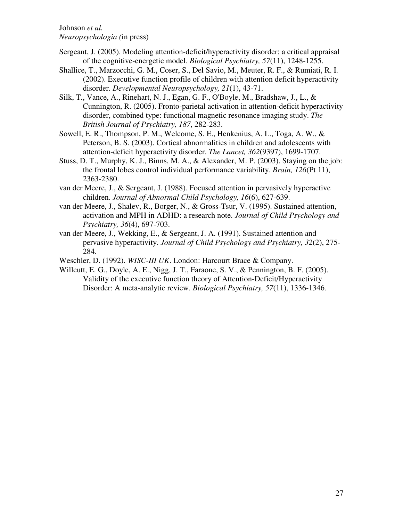- Sergeant, J. (2005). Modeling attention-deficit/hyperactivity disorder: a critical appraisal of the cognitive-energetic model. *Biological Psychiatry, 57*(11), 1248-1255.
- Shallice, T., Marzocchi, G. M., Coser, S., Del Savio, M., Meuter, R. F., & Rumiati, R. I. (2002). Executive function profile of children with attention deficit hyperactivity disorder. *Developmental Neuropsychology, 21*(1), 43-71.
- Silk, T., Vance, A., Rinehart, N. J., Egan, G. F., O'Boyle, M., Bradshaw, J., L., & Cunnington, R. (2005). Fronto-parietal activation in attention-deficit hyperactivity disorder, combined type: functional magnetic resonance imaging study. *The British Journal of Psychiatry, 187*, 282-283.
- Sowell, E. R., Thompson, P. M., Welcome, S. E., Henkenius, A. L., Toga, A. W., & Peterson, B. S. (2003). Cortical abnormalities in children and adolescents with attention-deficit hyperactivity disorder. *The Lancet, 362*(9397), 1699-1707.
- Stuss, D. T., Murphy, K. J., Binns, M. A., & Alexander, M. P. (2003). Staying on the job: the frontal lobes control individual performance variability. *Brain, 126*(Pt 11), 2363-2380.
- van der Meere, J., & Sergeant, J. (1988). Focused attention in pervasively hyperactive children. *Journal of Abnormal Child Psychology, 16*(6), 627-639.
- van der Meere, J., Shalev, R., Borger, N., & Gross-Tsur, V. (1995). Sustained attention, activation and MPH in ADHD: a research note. *Journal of Child Psychology and Psychiatry, 36*(4), 697-703.
- van der Meere, J., Wekking, E., & Sergeant, J. A. (1991). Sustained attention and pervasive hyperactivity. *Journal of Child Psychology and Psychiatry, 32*(2), 275- 284.
- Weschler, D. (1992). *WISC-III UK*. London: Harcourt Brace & Company.
- Willcutt, E. G., Doyle, A. E., Nigg, J. T., Faraone, S. V., & Pennington, B. F. (2005). Validity of the executive function theory of Attention-Deficit/Hyperactivity Disorder: A meta-analytic review. *Biological Psychiatry, 57*(11), 1336-1346.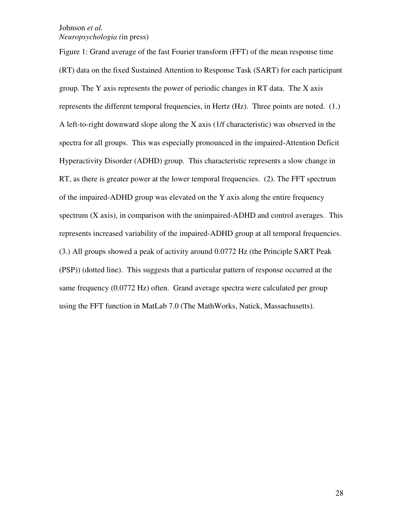Figure 1: Grand average of the fast Fourier transform (FFT) of the mean response time (RT) data on the fixed Sustained Attention to Response Task (SART) for each participant group. The Y axis represents the power of periodic changes in RT data. The X axis represents the different temporal frequencies, in Hertz (Hz). Three points are noted. (1.) A left-to-right downward slope along the X axis (1/f characteristic) was observed in the spectra for all groups. This was especially pronounced in the impaired-Attention Deficit Hyperactivity Disorder (ADHD) group. This characteristic represents a slow change in RT, as there is greater power at the lower temporal frequencies. (2). The FFT spectrum of the impaired-ADHD group was elevated on the Y axis along the entire frequency spectrum (X axis), in comparison with the unimpaired-ADHD and control averages. This represents increased variability of the impaired-ADHD group at all temporal frequencies. (3.) All groups showed a peak of activity around 0.0772 Hz (the Principle SART Peak (PSP)) (dotted line). This suggests that a particular pattern of response occurred at the same frequency (0.0772 Hz) often. Grand average spectra were calculated per group using the FFT function in MatLab 7.0 (The MathWorks, Natick, Massachusetts).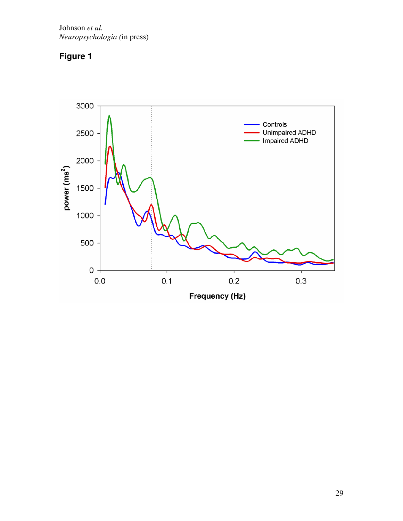Johnson *et al. Neuropsychologia (*in press)

# **Figure 1**

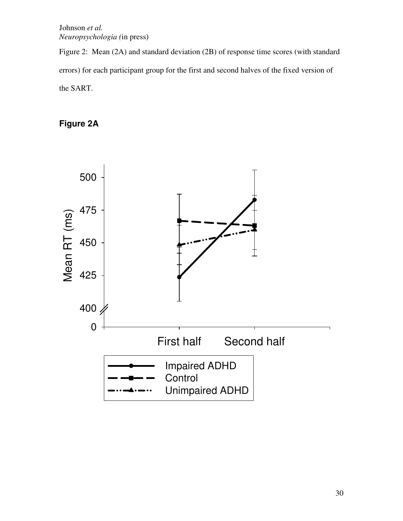Figure 2: Mean (2A) and standard deviation (2B) of response time scores (with standard errors) for each participant group for the first and second halves of the fixed version of the SART.

**Figure 2A** 

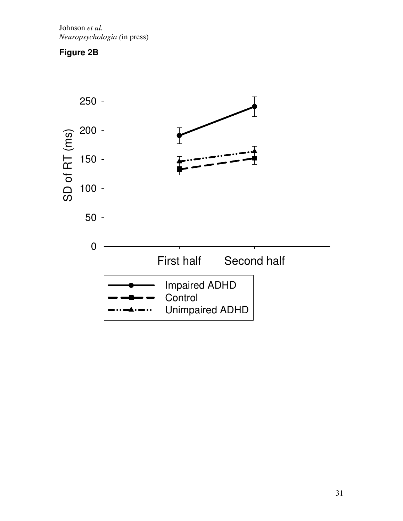Johnson *et al. Neuropsychologia (*in press)



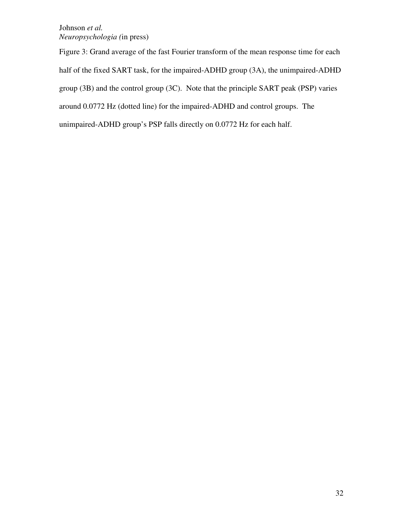Figure 3: Grand average of the fast Fourier transform of the mean response time for each half of the fixed SART task, for the impaired-ADHD group (3A), the unimpaired-ADHD group (3B) and the control group (3C). Note that the principle SART peak (PSP) varies around 0.0772 Hz (dotted line) for the impaired-ADHD and control groups. The unimpaired-ADHD group's PSP falls directly on 0.0772 Hz for each half.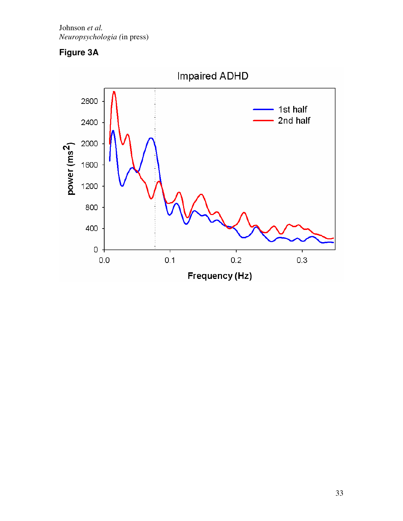Johnson *et al. Neuropsychologia (*in press)



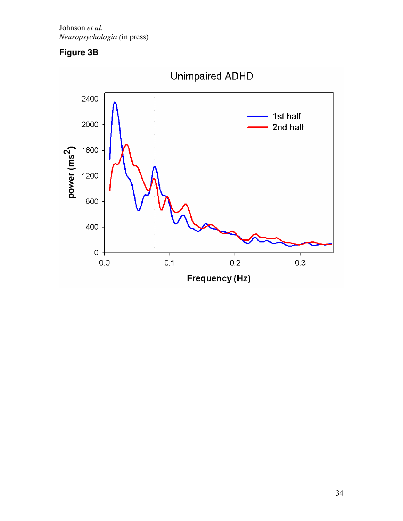Johnson *et al. Neuropsychologia (*in press)



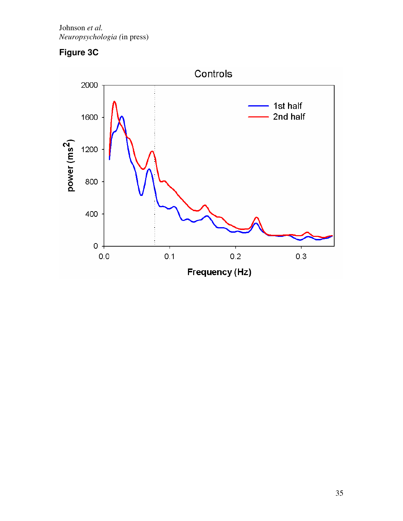Johnson *et al. Neuropsychologia (*in press)



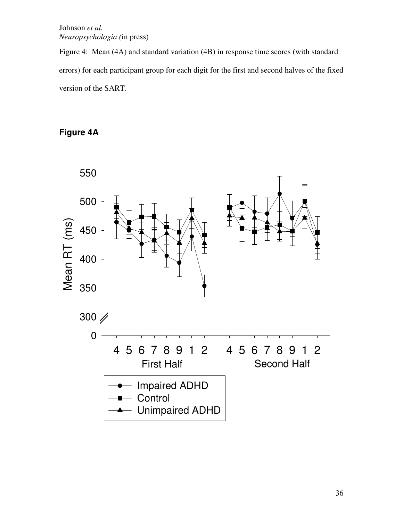Figure 4: Mean (4A) and standard variation (4B) in response time scores (with standard errors) for each participant group for each digit for the first and second halves of the fixed version of the SART.

# **Figure 4A**

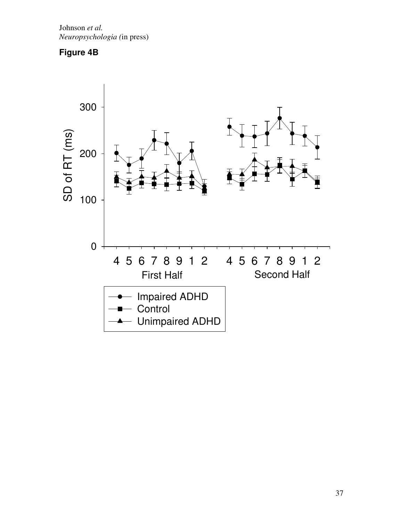Johnson *et al. Neuropsychologia (*in press)